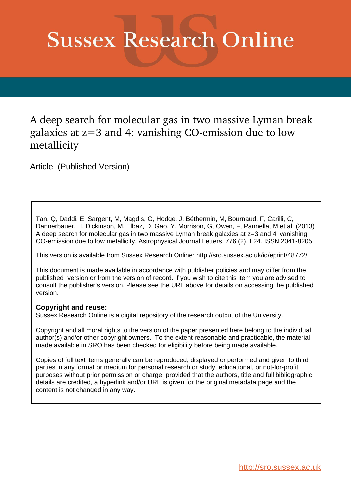# **Sussex Research Online**

A deep search for molecular gas in two massive Lyman break galaxies at  $z=3$  and 4: vanishing CO-emission due to low metallicity

Article (Published Version)

Tan, Q, Daddi, E, Sargent, M, Magdis, G, Hodge, J, Béthermin, M, Bournaud, F, Carilli, C, Dannerbauer, H, Dickinson, M, Elbaz, D, Gao, Y, Morrison, G, Owen, F, Pannella, M et al. (2013) A deep search for molecular gas in two massive Lyman break galaxies at z=3 and 4: vanishing CO-emission due to low metallicity. Astrophysical Journal Letters, 776 (2). L24. ISSN 2041-8205

This version is available from Sussex Research Online: http://sro.sussex.ac.uk/id/eprint/48772/

This document is made available in accordance with publisher policies and may differ from the published version or from the version of record. If you wish to cite this item you are advised to consult the publisher's version. Please see the URL above for details on accessing the published version.

### **Copyright and reuse:**

Sussex Research Online is a digital repository of the research output of the University.

Copyright and all moral rights to the version of the paper presented here belong to the individual author(s) and/or other copyright owners. To the extent reasonable and practicable, the material made available in SRO has been checked for eligibility before being made available.

Copies of full text items generally can be reproduced, displayed or performed and given to third parties in any format or medium for personal research or study, educational, or not-for-profit purposes without prior permission or charge, provided that the authors, title and full bibliographic details are credited, a hyperlink and/or URL is given for the original metadata page and the content is not changed in any way.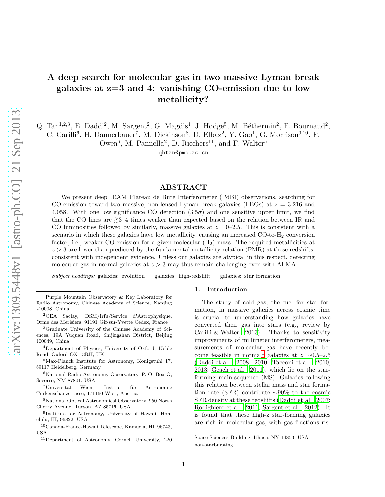## A deep search for molecular gas in two massive Lyman break galaxies at z=3 and 4: vanishing CO-emission due to low metallicity?

Q. Tan<sup>1,2,3</sup>, E. Daddi<sup>2</sup>, M. Sargent<sup>2</sup>, G. Magdis<sup>4</sup>, J. Hodge<sup>5</sup>, M. Béthermin<sup>2</sup>, F. Bournaud<sup>2</sup>,

C. Carilli<sup>6</sup>, H. Dannerbauer<sup>7</sup>, M. Dickinson<sup>8</sup>, D. Elbaz<sup>2</sup>, Y. Gao<sup>1</sup>, G. Morrison<sup>9,10</sup>, F.

Owen<sup>6</sup>, M. Pannella<sup>2</sup>, D. Riechers<sup>11</sup>, and F. Walter<sup>5</sup>

qhtan@pmo.ac.cn

#### ABSTRACT

We present deep IRAM Plateau de Bure Interferometer (PdBI) observations, searching for CO-emission toward two massive, non-lensed Lyman break galaxies (LBGs) at  $z = 3.216$  and 4.058. With one low significance CO detection  $(3.5\sigma)$  and one sensitive upper limit, we find that the CO lines are  $\geq 3-4$  times weaker than expected based on the relation between IR and CO luminosities followed by similarly, massive galaxies at  $z = 0$ –2.5. This is consistent with a scenario in which these galaxies have low metallicity, causing an increased CO-to-H<sub>2</sub> conversion factor, i.e., weaker CO-emission for a given molecular  $(H_2)$  mass. The required metallicities at  $z > 3$  are lower than predicted by the fundamental metallicity relation (FMR) at these redshifts, consistent with independent evidence. Unless our galaxies are atypical in this respect, detecting molecular gas in normal galaxies at  $z > 3$  may thus remain challenging even with ALMA.

Subject headings: galaxies: evolution — galaxies: high-redshift — galaxies: star formation

#### 1. Introduction

The study of cold gas, the fuel for star formation, in massive galaxies across cosmic time is crucial to understanding how galaxies have converted their gas into stars (e.g., review by [Carilli & Walter 2013\)](#page-8-0). Thanks to sensitivity improvements of millimeter interferometers, measurements of molecular gas have recently be-come feasible in normal<sup>[1](#page-1-0)</sup> galaxies at  $z \sim 0.5-2.5$ [\(Daddi et al. 2008,](#page-8-1) [2010;](#page-8-2) [Tacconi et al. 2010,](#page-9-0) [2013;](#page-9-1) [Geach et al. 2011\)](#page-8-3), which lie on the starforming main-sequence (MS). Galaxies following this relation between stellar mass and star formation rate (SFR) contribute ∼90% to the cosmic SFR density at these redshifts [\(Daddi et al. 2007;](#page-8-4) [Rodighiero et al. 2011;](#page-8-5) [Sargent et al. 2012\)](#page-8-6). It is found that these high-z star-forming galaxies are rich in molecular gas, with gas fractions ris-

<span id="page-1-0"></span>Space Sciences Building, Ithaca, NY 14853, USA  $<sup>1</sup>$ non-starbursting</sup>

<sup>1</sup>Purple Mountain Observatory & Key Laboratory for Radio Astronomy, Chinese Academy of Science, Nanjing 210008, China

<sup>2</sup>CEA Saclay, DSM/Irfu/Service d'Astrophysique, Orme des Merisiers, 91191 Gif-sur-Yvette Cedex, France

<sup>3</sup>Graduate University of the Chinese Academy of Sciences, 19A Yuquan Road, Shijingshan District, Beijing 100049, China

<sup>4</sup>Department of Physics, University of Oxford, Keble Road, Oxford OX1 3RH, UK

 $5$ Max-Planck Institute for Astronomy, Königstuhl 17, 69117 Heidelberg, Germany

<sup>6</sup>National Radio Astronomy Observatory, P. O. Box O, Socorro, NM 87801, USA

<sup>&</sup>lt;sup>7</sup>Universität Wien, Institut für Astronomie Türkenschanzstrasse, 171160 Wien, Austria

<sup>8</sup>National Optical Astronomical Observatory, 950 North Cherry Avenue, Tucson, AZ 85719, USA

<sup>9</sup> Institute for Astronomy, University of Hawaii, Honolulu, HI, 96822, USA

<sup>10</sup>Canada-France-Hawaii Telescope, Kamuela, HI, 96743, USA

<sup>11</sup>Department of Astronomy, Cornell University, 220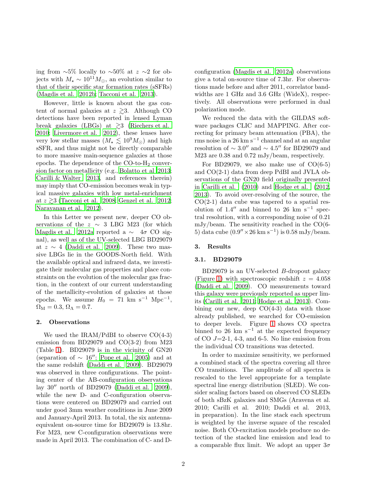ing from ∼5% locally to ∼50% at  $z \sim$ 2 for objects with  $M_{\star} \sim 10^{11} M_{\odot}$ , an evolution similar to that of their specific star formation rates (sSFRs) [\(Magdis et al. 2012b;](#page-8-7) [Tacconi et al. 2013](#page-9-1)).

However, little is known about the gas content of normal galaxies at  $z \gtrsim 3$ . Although CO detections have been reported in lensed Lyman break galaxies (LBGs) at  $\gtrsim$ 3 [\(Riechers et al.](#page-8-8) [2010;](#page-8-8) [Livermore et al. 2012\)](#page-8-9), these lenses have very low stellar masses  $(M_{\star} \lesssim 10^9 M_{\odot})$  and high sSFR, and thus might not be directly comparable to more massive main-sequence galaxies at those epochs. The dependence of the  $CO$ -to- $H<sub>2</sub>$  conversion factor on metallicity (e.g., [Bolatto et al 2013;](#page-8-10) [Carilli & Walter 2013](#page-8-0), and references therein) may imply that CO-emission becomes weak in typical massive galaxies with low metal-enrichment at  $z \gtrsim 3$  [\(Tacconi et al. 2008;](#page-9-2) [Genzel et al. 2012;](#page-8-11) [Narayanan et al. 2012\)](#page-8-12).

In this Letter we present new, deeper CO observations of the  $z \sim 3$  LBG M23 (for which [Magdis et al. 2012a](#page-8-13) reported a  $\sim$  4 $\sigma$  CO signal), as well as of the UV-selected LBG BD29079 at  $z \sim 4$  [\(Daddi et al. 2009\)](#page-8-14). These two massive LBGs lie in the GOODS-North field. With the available optical and infrared data, we investigate their molecular gas properties and place constraints on the evolution of the molecular gas fraction, in the context of our current understanding of the metallicity-evolution of galaxies at those epochs. We assume  $H_0 = 71$  km s<sup>-1</sup> Mpc<sup>-1</sup>,  $\Omega_{\rm M} = 0.3, \Omega_{\Lambda} = 0.7.$ 

#### 2. Observations

We used the IRAM/PdBI to observe CO(4-3) emission from BD29079 and CO(3-2) from M23 (Table [1\)](#page-3-0). BD29079 is in the vicinity of GN20 (separation of  $\sim 16''$ ; [Pope et al. 2005\)](#page-8-15) and at the same redshift [\(Daddi et al. 2009\)](#page-8-14). BD29079 was observed in three configurations. The pointing center of the AB-configuration observations lay 30′′ north of BD29079 [\(Daddi et al. 2009\)](#page-8-14), while the new D- and C-configuration observations were centered on BD29079 and carried out under good 3mm weather conditions in June 2009 and January-April 2013. In total, the six antennaequivalent on-source time for BD29079 is 13.8hr. For M23, new C-configuration observations were made in April 2013. The combination of C- and D-

configuration [\(Magdis et al. 2012a\)](#page-8-13) observations give a total on-source time of 7.3hr. For observations made before and after 2011, correlator bandwidths are 1 GHz and 3.6 GHz (WideX), respectively. All observations were performed in dual polarization mode.

We reduced the data with the GILDAS software packages CLIC and MAPPING. After correcting for primary beam attenuation (PBA), the rms noise in a 26 km s<sup>−</sup><sup>1</sup> channel and at an angular resolution of  $\sim 3.0''$  and  $\sim 4.5''$  for BD29079 and M23 are 0.38 and 0.72 mJy/beam, respectively.

For BD29079, we also make use of  $CO(6-5)$ and CO(2-1) data from deep PdBI and JVLA observations of the GN20 field originally presented in [Carilli et al. \(2010\)](#page-8-16) and [Hodge et al. \(2012,](#page-8-17) [2013\)](#page-8-18). To avoid over-resolving of the source, the  $CO(2-1)$  data cube was tapered to a spatial resolution of 1.4″ and binned to 26 km s<sup>-1</sup> spectral resolution, with a corresponding noise of 0.21 mJy/beam. The sensitivity reached in the CO(6- 5) data cube  $(0.9'' \times 26 \text{ km s}^{-1})$  is 0.58 mJy/beam.

#### 3. Results

#### 3.1. BD29079

BD29079 is an UV-selected B-dropout galaxy (Figure [1\)](#page-4-0) with spectroscopic redshift  $z = 4.058$ [\(Daddi et al. 2009\)](#page-8-14). CO measurements toward this galaxy were previously reported as upper limits [\(Carilli et al. 2011;](#page-8-19) [Hodge et al. 2013](#page-8-18)). Combining our new, deep  $CO(4-3)$  data with those already published, we searched for CO-emission to deeper levels. Figure [1](#page-4-0) shows CO spectra binned to 26 km s<sup> $-1$ </sup> at the expected frequency of CO  $J=2-1$ , 4-3, and 6-5. No line emission from the individual CO transitions was detected.

In order to maximize sensitivity, we performed a combined stack of the spectra covering all three CO transitions. The amplitude of all spectra is rescaled to the level appropriate for a template spectral line energy distribution (SLED). We consider scaling factors based on observed CO SLEDs of both sBzK galaxies and SMGs (Aravena et al. 2010; Carilli et al. 2010; Daddi et al. 2013, in preparation). In the line stack each spectrum is weighted by the inverse square of the rescaled noise. Both CO-excitation models produce no detection of the stacked line emission and lead to a comparable flux limit. We adopt an upper  $3\sigma$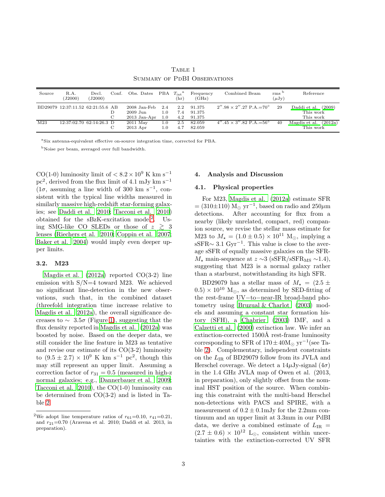TABLE 1 Summary of PdBI Observations

<span id="page-3-0"></span>

| Source | R.A.<br>(J2000)                   | Decl.<br>(J2000) | Conf. | Obs. Dates PBA $T_{\text{int}}^{\text{a}}$   |                   | (hr)              | Frequency<br>(GHz)         | Combined Beam                                 | rms <sup>b</sup><br>$(\mu Jy)$ | Reference                                     |
|--------|-----------------------------------|------------------|-------|----------------------------------------------|-------------------|-------------------|----------------------------|-----------------------------------------------|--------------------------------|-----------------------------------------------|
|        | BD29079 12:37:11.52 62:21:55.6 AB |                  |       | 2008 Jan-Feb<br>$2009$ Jun<br>$2013$ Jan-Apr | 2.4<br>1.0<br>1.0 | 2.2<br>7.4<br>4.2 | 91.375<br>91.375<br>91.375 | $2''.98 \times 2''.27$ P.A. $=70^{\circ}$     | 29                             | Daddi et al. (2009)<br>This work<br>This work |
| M23    | 12:37:02.70 62:14:26.3 D          |                  |       | $2011$ May<br>$2013$ Apr                     | $1.0\,$<br>1.0    | 2.5<br>4.7        | 82.059<br>82.059           | $4''.45 \times 3''.82$ P.A. = 56 <sup>°</sup> | 40                             | Magdis et al. $(2012a)$<br>This work          |

<sup>a</sup>Six antenna-equivalent effective on-source integration time, corrected for PBA.

<sup>b</sup>Noise per beam, averaged over full bandwidth.

CO(1-0) luminosity limit of  $< 8.2 \times 10^9$  K km s<sup>-1</sup>  $pc<sup>2</sup>$ , derived from the flux limit of 4.1 mJy km s<sup>-1</sup>  $(1\sigma,$  assuming a line width of 300 km s<sup>-1</sup>, consistent with the typical line widths measured in similarly massive high-redshift star-forming galaxies; see [Daddi et al. 2010;](#page-8-2) [Tacconi et al. 2010\)](#page-9-0) obtained for the  $sBzK-excitation \ model^2$  $sBzK-excitation \ model^2$ . Using SMG-like CO SLEDs or those of  $z \geq 3$ lenses [\(Riechers et al. 2010;](#page-8-8) [Coppin et al. 2007;](#page-8-20) [Baker et al. 2004\)](#page-8-21) would imply even deeper upper limits.

#### 3.2. M23

Magdis et al.  $(2012a)$  reported  $CO(3-2)$  line emission with  $S/N=4$  toward M23. We achieved no significant line-detection in the new observations, such that, in the combined dataset (threefold integration time increase relative to [Magdis et al. 2012a\)](#page-8-13), the overall significance decreases to  $\sim 3.5\sigma$  (Figure [1\)](#page-4-0), suggesting that the flux density reported in [Magdis et al. \(2012a\)](#page-8-13) was boosted by noise. Based on the deeper data, we still consider the line feature in M23 as tentative and revise our estimate of its CO(3-2) luminosity to  $(9.5 \pm 2.7) \times 10^9$  K km s<sup>-1</sup> pc<sup>2</sup>, though this may still represent an upper limit. Assuming a correction factor of  $r_{31} = 0.5$  (measured in high-z normal galaxies; e.g., [Dannerbauer et al. 2009;](#page-8-22) Tacconi et al.  $2010$ , the CO(1-0) luminosity can be determined from CO(3-2) and is listed in Table [2.](#page-4-1)

#### 4. Analysis and Discussion

#### 4.1. Physical properties

For M23, [Magdis et al. \(2012a\)](#page-8-13) estimate SFR  $= (310\pm110)$  M<sub>☉</sub> yr<sup>-1</sup>, based on radio and  $250 \mu m$ detections. After accounting for flux from a nearby (likely unrelated, compact, red) companion source, we revise the stellar mass estimate for M23 to  $M_{\star} = (1.0 \pm 0.5) \times 10^{11}$  M<sub>o</sub>, implying a  $\text{sSFR} \sim 3.1 \text{ Gyr}^{-1}$ . This value is close to the average sSFR of equally massive galaxies on the SFR- $M_{\star}$  main-sequence at  $z \sim 3$  (sSFR/sSFR<sub>MS</sub> ~1.4), suggesting that M23 is a normal galaxy rather than a starburst, notwithstanding its high SFR.

BD29079 has a stellar mass of  $M_{\star} = (2.5 \pm$  $(0.5) \times 10^{10}$  M<sub>☉</sub>, as determined by SED-fitting of the rest-frame UV−to−near-IR broad-band photometry using [Bruzual & Charlot \(2003\)](#page-8-23) models and assuming a constant star formation history (SFH), a [Chabrier \(2003\)](#page-8-24) IMF, and a [Calzetti et al. \(2000\)](#page-8-25) extinction law. We infer an extinction-corrected 1500Å rest-frame luminosity corresponding to SFR of  $170 \pm 40 \text{M}_{\odot} \text{ yr}^{-1}$ (see Table [2\)](#page-4-1). Complementary, independent constraints on the LIR of BD29079 follow from its JVLA and Herschel coverage. We detect a  $14\mu$ Jy-signal  $(4\sigma)$ in the 1.4 GHz JVLA map of Owen et al. (2013, in preparation), only slightly offset from the nominal HST position of the source. When combining this constraint with the multi-band Herschel non-detections with PACS and SPIRE, with a measurement of  $0.2 \pm 0.1$  mJy for the 2.2mm continuum and an upper limit at 3.3mm in our PdBI data, we derive a combined estimate of  $L_{\text{IR}}$  =  $(2.7 \pm 0.6) \times 10^{12}$  L<sub>☉</sub>, consistent within uncertainties with the extinction-corrected UV SFR

<sup>&</sup>lt;sup>2</sup>We adopt line temperature ratios of  $r_{61}$ =0.10,  $r_{41}$ =0.21, and  $r_{21}$ =0.70 (Aravena et al. 2010; Daddi et al. 2013, in preparation).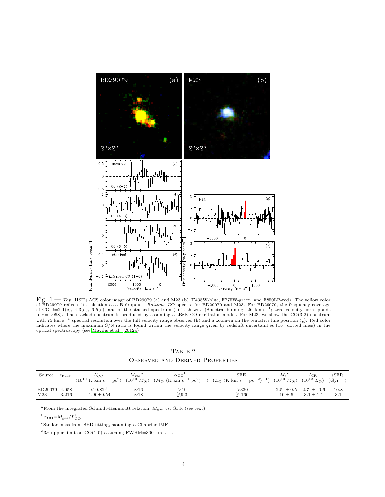

<span id="page-4-0"></span>Fig. 1.— Top: HST+ACS color image of BD29079 (a) and M23 (b) (F435W-blue, F775W-green, and F850LP-red). The yellow color of BD29079 reflects its selection as a B-dropout. Bottom: CO spectra for BD29070 and M23. For BD29079, the frequency coverage of CO J=2-1(c), 4-3(d), 6-5(e), and of the stacked spectrum (f) is shown. (Spectral binning: 26 km s<sup>-1</sup>; zero velocity corresponds to  $z=4.058$ ). The stacked spectrum is produced by assuming a sBzK CO excitation model. For M23, we show the CO(3-2) spectrum with 75 km s<sup>-1</sup> spectral resolution over the full velocity range observed (h) and a zoom-in on the tentative line position (g). Red color indicates where the maximum S/N ratio is found within the velocity range given by redshift uncertainties  $(1\sigma;$  dotted lines) in the optical spectroscopy (see [Magdis et al. 2012a](#page-8-13))

TABLE 2 Observed and Derived Properties

<span id="page-4-1"></span>

| Source  | $z_{\text{Keck}}$ | $L_{\text{CO}}$<br>$(10^{10} \text{ K km s}^{-1} \text{ pc}^2)$ | $M_{\rm gas}$ <sup>a</sup> | $\alpha$ CO   | ${\rm SFE}$<br>$(10^{10} M_{\odot})$ $(M_{\odot}$ $(K \text{ km s}^{-1} \text{ pc}^2)^{-1})$ $(L_{\odot}$ $(K \text{ km s}^{-1} \text{ pc}^{-2})^{-1})$ | $M_*$ <sup>c</sup><br>$(10^{10} M_{\odot})$ $(10^{12} L_{\odot})$ $(Gyr^{-1})$ | $L_{\rm IR}$                | sSFR |
|---------|-------------------|-----------------------------------------------------------------|----------------------------|---------------|---------------------------------------------------------------------------------------------------------------------------------------------------------|--------------------------------------------------------------------------------|-----------------------------|------|
| BD29079 | 4.058             | $< 0.82^{\rm d}$                                                | $\sim$ 16                  | $>\!\!19$     | >330                                                                                                                                                    | $10 \pm 5$                                                                     | $2.5 \pm 0.5$ $2.7 \pm 0.6$ | 10.8 |
| M23     | 3.216             | $1.90\!\pm\!0.54$                                               | $\sim18$                   | $\gtrsim 9.3$ | $\geq 160$                                                                                                                                              |                                                                                | $3.1 \pm 1.1$               | 3.1  |

 $^{\rm a}$  From the integrated Schmidt-Kennicutt relation,  $M_{\rm gas}$  vs. SFR (see text).

 $b_{\alpha_{\text{CO}}=M_{\text{gas}}/L'_{\text{CO}}}$ 

 $\mathrm{c}\mathop{\mathrm{Stellar}}$  mass from SED fitting, assuming a Chabrier IMF

 $d_{3\sigma}$  upper limit on CO(1-0) assuming FWHM=300 km s<sup>-1</sup>.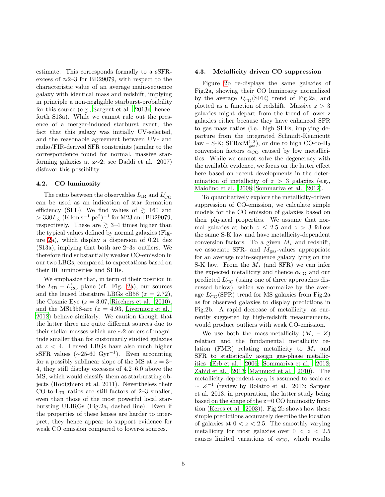estimate. This corresponds formally to a sSFRexcess of  $\approx$ 2–3 for BD29079, with respect to the characteristic value of an average main-sequence galaxy with identical mass and redshift, implying in principle a non-negligible starburst-probability for this source (e.g., [Sargent et al. 2013a,](#page-8-26) henceforth S13a). While we cannot rule out the presence of a merger-induced starburst event, the fact that this galaxy was initially UV-selected, and the reasonable agreement between UV- and radio/FIR-derived SFR constraints (similar to the correspondence found for normal, massive starforming galaxies at z∼2; see Daddi et al. 2007) disfavor this possibility.

#### 4.2. CO luminosity

The ratio between the observables  $L_{\rm IR}$  and  $L'_{\rm CO}$ can be used as an indication of star formation efficiency (SFE). We find values of  $\gtrsim 160$  and  $> 330L_{\odot}$  (K km s<sup>-1</sup> pc<sup>2</sup>)<sup>-1</sup> for M23 and BD29079, respectively. These are  $\geq 3-4$  times higher than the typical values defined by normal galaxies (Figure [2a](#page-6-0)), which display a dispersion of 0.21 dex (S13a), implying that both are  $2-3\sigma$  outliers. We therefore find substantially weaker CO-emission in our two LBGs, compared to expectations based on their IR luminosities and SFRs.

We emphasize that, in term of their position in the  $L_{IR} - L'_{CO}$  plane (cf. Fig. [2a](#page-6-0)), our sources and the lensed literature LBGs cB58  $(z = 2.72)$ , the Cosmic Eye ( $z = 3.07$ , [Riechers et al. 2010\)](#page-8-8), and the MS1358-arc  $(z = 4.93, \text{ Livermore et al.})$  $(z = 4.93, \text{ Livermore et al.})$  $(z = 4.93, \text{ Livermore et al.})$ [2012\)](#page-8-9) behave similarly. We caution though that the latter three are quite different sources due to their stellar masses which are ∼2 orders of magnitude smaller than for customarily studied galaxies at z < 4. Lensed LBGs have also much higher sSFR values  $(\sim 25{\text -}60 \text{ Gyr}^{-1})$ . Even accounting for a possibly sublinear slope of the MS at  $z = 3$ – 4, they still display excesses of 4.2–6.0 above the MS, which would classify them as starbursting objects (Rodighiero et al. 2011). Nevertheless their CO-to- $L_{IR}$  ratios are still factors of 2–3 smaller, even than those of the most powerful local starbursting ULIRGs (Fig.2a, dashed line). Even if the properties of these lenses are harder to interpret, they hence appear to support evidence for weak CO emission compared to lower-z sources.

#### 4.3. Metallicity driven CO suppression

Figure [2b](#page-6-0) re-displays the same galaxies of Fig.2a, showing their CO luminosity normalized by the average  $L'_{\text{CO}}(\text{SFR})$  trend of Fig.2a, and plotted as a function of redshift. Massive  $z > 3$ galaxies might depart from the trend of lower-z galaxies either because they have enhanced SFR to gas mass ratios (i.e. high SFEs, implying departure from the integrated Schmidt-Kennicutt  $\text{law} - \text{S-K}$ ;  $\text{SFR} \propto \text{M}_{\text{gas}}^{1.2}$ ), or due to high CO-to-H<sub>2</sub> conversion factors  $\alpha_{\rm CO}$  caused by low metallicities. While we cannot solve the degeneracy with the available evidence, we focus on the latter effect here based on recent developments in the determination of metallicity of  $z > 3$  galaxies (e.g., [Maiolino et al. 2008;](#page-8-27) [Sommariva et al. 2012\)](#page-9-4).

To quantitatively explore the metallicity-driven suppression of CO-emission, we calculate simple models for the CO emission of galaxies based on their physical properties. We assume that normal galaxies at both  $z \leq 2.5$  and  $z > 3$  follow the same S-K law and have metallicity-dependent conversion factors. To a given  $M_{\star}$  and redshift, we associate SFR- and  $M_{\text{gas}}$ -values appropriate for an average main-sequence galaxy lying on the S-K law. From the  $M_{\star}$  (and SFR) we can infer the expected metallicity and thence  $\alpha_{\rm CO}$  and our predicted  $L'_{\rm CO}$  (using one of three approaches discussed below), which we normalize by the average  $L'_{\rm CO}({\rm SFR})$  trend for MS galaxies from Fig.2a as for observed galaxies to display predictions in Fig.2b. A rapid decrease of metallicity, as currently suggested by high-redshift measurements, would produce outliers with weak CO-emission.

We use both the mass-metallicity  $(M_{\star} - Z)$ relation and the fundamental metallicity relation (FMR) relating metallicity to  $M_{\star}$  and SFR to statistically assign gas-phase metallicities [\(Erb et al. 2006;](#page-8-28) [Sommariva et al. 2012;](#page-9-4) [Zahid et al. 2013](#page-9-5); [Mannucci et al. 2010](#page-8-29)). The metallicity-dependent  $\alpha_{\rm CO}$  is assumed to scale as  $\sim Z^{-1}$  (review by Bolatto et al. 2013; Sargent et al. 2013, in preparation, the latter study being based on the shape of the z=0 CO luminosity function [\(Keres et al. 2003\)](#page-8-30)). Fig.2b shows how these simple predictions accurately describe the location of galaxies at  $0 < z < 2.5$ . The smoothly varying metallicity for most galaxies over  $0 < z < 2.5$ causes limited variations of  $\alpha_{\rm CO}$ , which results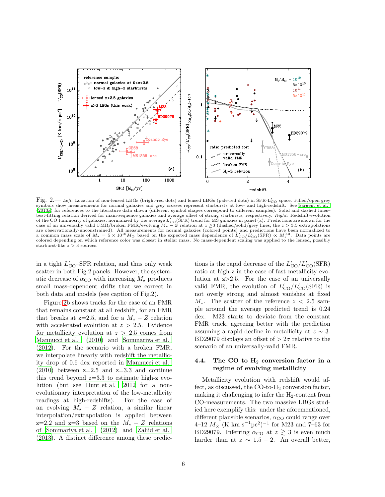

<span id="page-6-0"></span>Fig. 2.— Left: Location of non-lensed LBGs (bright-red dots) and lensed LBGs (pale-red dots) in SFR-L'<sub>CO</sub> space. Filled/open grey<br>symbols show measurements for normal galaxies and grey crosses represent starbursts at low-[\(2013a\)](#page-8-26) for references to the literature data shown (different symbol shapes correspond to different samples). Solid and dashed lines– best-fitting relation derived for main-sequence galaxies and average offset of strong starbursts, respectively. Right: Redshift-evolution of the CO luminosity of galaxies, normalized by the average  $L'_{\text{CO}}(\overline{\text{SFR}})$  trend for MS galaxies in panel (a). Predictions are shown for the case of an universally valid FMR/broken FMR/evolving  $M_{\star} - Z$  relation at are observationally-unconstrained). All measurements for normal galaxies (colored points) and predictions have been normalized to<br>a common mass scale of  $M_{\star} = 5 \times 10^{10} M_{\odot}$  based on the expected mass dependence of colored depending on which reference color was closest in stellar mass. No mass-dependent scaling was applied to the lensed, possibly starburst-like  $z > 3$  sources.

in a tight  $L'_{\rm CO}$ –SFR relation, and thus only weak scatter in both Fig.2 panels. However, the systematic decrease of  $\alpha_{\rm CO}$  with increasing  $M_{\star}$  produces small mass-dependent drifts that we correct in both data and models (see caption of Fig.2).

Figure [2b](#page-6-0) shows tracks for the case of an FMR that remains constant at all redshift, for an FMR that breaks at z=2.5, and for a  $M_{\star}$  – Z relation with accelerated evolution at  $z > 2.5$ . Evidence for metallicity evolution at  $z > 2.5$  comes from [Mannucci et al. \(2010\)](#page-8-29) and [Sommariva et al.](#page-9-4) [\(2012\)](#page-9-4). For the scenario with a broken FMR, we interpolate linearly with redshift the metallicity drop of 0.6 dex reported in [Mannucci et al.](#page-8-29)  $(2010)$  between  $z=2.5$  and  $z=3.3$  and continue this trend beyond  $z=3.3$  to estimate high-z evolution (but see [Hunt et al. 2012](#page-8-31) for a nonevolutionary interpretation of the low-metallicity readings at high-redshifts). For the case of an evolving  $M_{\star}$  − Z relation, a similar linear interpolation/extrapolation is applied between z=2.2 and z=3 based on the  $M_{\star}$  – Z relations of [Sommariva et al. \(2012](#page-9-4)) and [Zahid et al.](#page-9-5) [\(2013\)](#page-9-5). A distinct difference among these predic-

tions is the rapid decrease of the  $L'_{\rm CO}/L'_{\rm CO}({\rm SFR})$ ratio at high-z in the case of fast metallicity evolution at z>2.5. For the case of an universally valid FMR, the evolution of  $L'_{\text{CO}}/L'_{\text{CO}}(\text{SFR})$  is not overly strong and almost vanishes at fixed  $M_{\star}$ . The scatter of the reference  $z < 2.5$  sample around the average predicted trend is 0.24 dex. M23 starts to deviate from the constant FMR track, agreeing better with the prediction assuming a rapid decline in metallicity at  $z \sim 3$ . BD29079 displays an offset of  $> 2\sigma$  relative to the scenario of an universally-valid FMR.

#### 4.4. The CO to  $H_2$  conversion factor in a regime of evolving metallicity

Metallicity evolution with redshift would affect, as discussed, the  $CO$ -to- $H_2$  conversion factor, making it challenging to infer the  $H_2$ -content from CO-measurements. The two massive LBGs studied here exemplify this: under the aforementioned, different plausible scenarios,  $\alpha_{\rm CO}$  could range over  $4-12$   $M_{\odot}$  (K km s<sup>-1</sup>pc<sup>2</sup>)<sup>-1</sup> for M23 and 7–63 for BD29079. Inferring  $\alpha_{\rm CO}$  at  $z \gtrsim 3$  is even much harder than at  $z \sim 1.5 - 2$ . An overall better,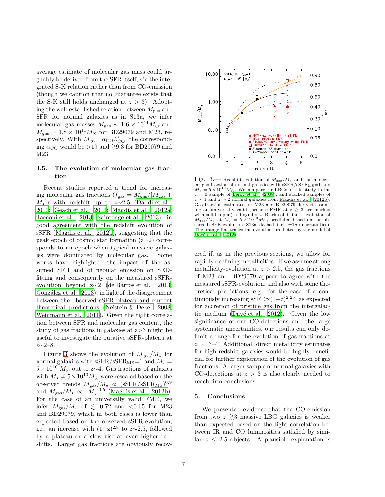average estimate of molecular gas mass could arguably be derived from the SFR itself, via the integrated S-K relation rather than from CO-emission (though we caution that no guarantee exists that the S-K still holds unchanged at  $z > 3$ . Adopting the well-established relation between  $M_{\text{gas}}$  and SFR for normal galaxies as in S13a, we infer molecular gas masses  $M_{\rm gas} \sim 1.6 \times 10^{11} M_{\odot}$  and  $M_{\text{gas}} \sim 1.8 \times 10^{11} M_{\odot}$  for BD29079 and M23, respectively. With  $M_{\text{gas}} = \alpha_{\text{CO}} L'_{\text{CO}}$ , the corresponding  $\alpha_{\rm CO}$  would be >19 and  $\geq 9.3$  for BD29079 and M23.

#### 4.5. The evolution of molecular gas fraction

Recent studies reported a trend for increasing molecular gas fractions  $(f_{\text{gas}} = M_{\text{gas}}/[M_{\text{gas}} +$  $M_{\star}$ ) with redshift up to z∼2.5 [\(Daddi et al.](#page-8-2) [2010;](#page-8-2) [Geach et al. 2011;](#page-8-3) [Magdis et al. 2012a;](#page-8-13) [Tacconi et al. 2013;](#page-9-1) [Saintonge et al. 2013\)](#page-8-32), in good agreement with the redshift evolution of sSFR [\(Magdis et al. 2012b\)](#page-8-7), suggesting that the peak epoch of cosmic star formation (z∼2) corresponds to an epoch when typical massive galaxies were dominated by molecular gas. Some works have highlighted the impact of the assumed SFH and of nebular emission on SEDfitting and consequently on the measured sSFRevolution beyond z∼2 [\(de Barros et al. 2013;](#page-8-33) González et al. 2013), in light of the disagreement between the observed sSFR plateau and current theoretical predictions [\(Neistein & Dekel 2008;](#page-8-35) [Weinmann et al. 2011\)](#page-9-6). Given the tight correlation between SFR and molecular gas content, the study of gas fractions in galaxies at z>3 might be useful to investigate the putative sSFR-plateau at z∼2–8.

Figure [3](#page-7-0) shows the evolution of  $M_{\rm gas}/M_{\star}$  for normal galaxies with sSFR/sSFR<sub>MS</sub>=1 and  $M_{\star}$  =  $5 \times 10^{10}$  M<sub>☉</sub> out to z $\sim$ 4. Gas fractions of galaxies with  $M_{\star} \neq 5 \times 10^{10} M_{\odot}$  were rescaled based on the observed trends  $M_{\rm gas}/M_{\star} \propto (sSFR/sSFR_{\rm MS})^{0.9}$ and  $M_{\rm gas}/M_{\star} \propto \bar{M}_{\star}^{-0.5}$  [\(Magdis et al. 2012b\)](#page-8-7). For the case of an universally valid FMR, we infer  $M_{\rm gas}/M_{\star}$  of  $\lesssim$  0.72 and <0.65 for M23 and BD29079, which in both cases is lower than expected based on the observed sSFR-evolution, i.e., an increase with  $(1+z)^{2.8}$  to z∼2.5, followed by a plateau or a slow rise at even higher redshifts. Larger gas fractions are obviously recov-



<span id="page-7-0"></span>Fig. 3.— Redshift-evolution of  $M_{\rm gas}/M_{\star}$  and the molecular gas fraction of normal galaxies with  $\rm sSFR/sSFR_{MS}\!=\!1$  and  $M_{\star} = 5 \times 10^{10} M_{\odot}$ . We compare the LBGs of this study to the  $z = 0$  sample of [Leroy et al. \(2008\)](#page-8-36), and stacked samples of  $z \sim 1$  and  $z \sim 2$  normal galaxies from [Magdis et al. \(2012b](#page-8-7)). Gas fraction estimates for M23 and BD29079 derived assuming an universally valid (broken) FMR at  $z \geq 3$  are marked with solid (open) red symbols. Black-solid line – evolution of  $M_{\rm gas}/M_{\star}$  at  $M_{\star} = 5 \times 10^{10} M_{\odot}$ , predicted based on the observed sSFR-evolution (S13a; dashed line –  $\pm 1\sigma$  uncertainties). The orange line traces the evolution predicted by the model of Davé et al. (2012).

ered if, as in the previous sections, we allow for rapidly declining metallicities. If we assume strong metallicity-evolution at  $z > 2.5$ , the gas fractions of M23 and BD29079 appear to agree with the measured sSFR-evolution, and also with some theoretical predictions, e.g. for the case of a continuously increasing sSFR $\alpha(1+z)^{2.25}$ , as expected for accretion of pristine gas from the intergalactic medium (Davé et al.  $2012$ ). Given the low significance of our CO-detections and the large systematic uncertainties, our results can only delimit a range for the evolution of gas fractions at  $z \sim$  3–4. Additional, direct metallicity estimates for high redshift galaxies would be highly beneficial for further exploration of the evolution of gas fractions. A larger sample of normal galaxies with CO-detections at  $z > 3$  is also clearly needed to reach firm conclusions.

#### 5. Conclusions

We presented evidence that the CO-emission from two  $z \geq 3$  massive LBG galaxies is weaker than expected based on the tight correlation between IR and CO luminosities satisfied by similar  $z \leq 2.5$  objects. A plausible explanation is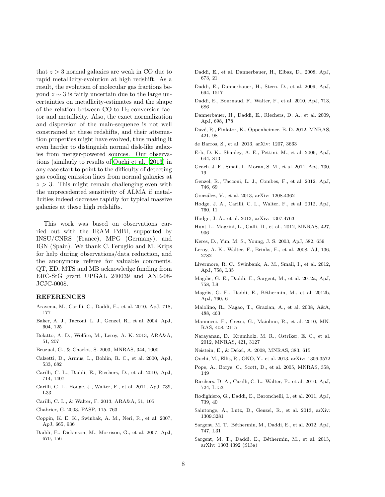that  $z > 3$  normal galaxies are weak in CO due to rapid metallicity-evolution at high redshift. As a result, the evolution of molecular gas fractions beyond  $z \sim 3$  is fairly uncertain due to the large uncertainties on metallicity-estimates and the shape of the relation between  $CO$ -to- $H<sub>2</sub>$  conversion factor and metallicity. Also, the exact normalization and dispersion of the main-sequence is not well constrained at these redshifts, and their attenuation properties might have evolved, thus making it even harder to distinguish normal disk-like galaxies from merger-powered sources. Our observations (similarly to results of [Ouchi et al. 2013\)](#page-8-38) in any case start to point to the difficulty of detecting gas cooling emission lines from normal galaxies at  $z > 3$ . This might remain challenging even with the unprecedented sensitivity of ALMA if metallicities indeed decrease rapidly for typical massive galaxies at these high redshifts.

This work was based on observations carried out with the IRAM PdBI, supported by INSU/CNRS (France), MPG (Germany), and IGN (Spain). We thank C. Feruglio and M. Krips for help during observations/data reduction, and the anonymous referee for valuable comments. QT, ED, MTS and MB acknowledge funding from ERC-StG grant UPGAL 240039 and ANR-08- JCJC-0008.

#### REFERENCES

- Aravena, M., Carilli, C., Daddi, E., et al. 2010, ApJ, 718, 177
- <span id="page-8-21"></span>Baker, A. J., Tacconi, L. J., Genzel, R., et al. 2004, ApJ, 604, 125
- <span id="page-8-10"></span>Bolatto, A. D., Wolfire, M., Leroy, A. K. 2013, ARA&A, 51, 207
- <span id="page-8-23"></span>Bruzual, G., & Charlot, S. 2003, MNRAS, 344, 1000
- <span id="page-8-25"></span>Calzetti, D., Armus, L., Bohlin, R. C., et al. 2000, ApJ, 533, 682
- <span id="page-8-16"></span>Carilli, C. L., Daddi, E., Riechers, D., et al. 2010, ApJ, 714, 1407
- <span id="page-8-19"></span>Carilli, C. L., Hodge, J., Walter, F., et al. 2011, ApJ, 739, L33
- <span id="page-8-0"></span>Carilli, C. L., & Walter, F. 2013, ARA&A, 51, 105
- <span id="page-8-24"></span>Chabrier, G. 2003, PASP, 115, 763
- <span id="page-8-20"></span>Coppin, K. E. K., Swinbak, A. M., Neri, R., et al. 2007, ApJ, 665, 936
- <span id="page-8-4"></span>Daddi, E., Dickinson, M., Morrison, G., et al. 2007, ApJ, 670, 156
- <span id="page-8-1"></span>Daddi, E., et al. Dannerbauer, H., Elbaz, D., 2008, ApJ, 673, 21
- <span id="page-8-14"></span>Daddi, E., Dannerbauer, H., Stern, D., et al. 2009, ApJ, 694, 1517
- <span id="page-8-2"></span>Daddi, E., Bournaud, F., Walter, F., et al. 2010, ApJ, 713, 686
- <span id="page-8-22"></span>Dannerbauer, H., Daddi, E., Riechers, D. A., et al. 2009, ApJ, 698, 178
- <span id="page-8-37"></span>Davé, R., Finlator, K., Oppenheimer, B. D. 2012, MNRAS, 421, 98
- <span id="page-8-33"></span>de Barros, S., et al. 2013, arXiv: 1207, 3663
- <span id="page-8-28"></span>Erb, D. K., Shapley, A. E., Pettini, M., et al. 2006, ApJ, 644, 813
- <span id="page-8-3"></span>Geach, J. E., Smail, I., Moran, S. M., et al. 2011, ApJ, 730, 19
- <span id="page-8-11"></span>Genzel, R., Tacconi, L. J., Combes, F., et al. 2012, ApJ, 746, 69
- <span id="page-8-34"></span>González, V., et al. 2013, arXiv: 1208.4362
- <span id="page-8-17"></span>Hodge, J. A., Carilli, C. L., Walter, F., et al. 2012, ApJ, 760, 11
- <span id="page-8-18"></span>Hodge, J. A., et al. 2013, arXiv: 1307.4763
- <span id="page-8-31"></span>Hunt L., Magrini, L., Galli, D., et al., 2012, MNRAS, 427, 906
- <span id="page-8-30"></span>Keres, D., Yun, M. S., Young, J. S. 2003, ApJ, 582, 659
- <span id="page-8-36"></span>Leroy, A. K., Walter, F., Brinks, E., et al. 2008, AJ, 136, 2782
- <span id="page-8-9"></span>Livermore, R. C., Swinbank, A. M., Smail, I., et al. 2012, ApJ, 758, L35
- <span id="page-8-13"></span>Magdis, G. E., Daddi, E., Sargent, M., et al. 2012a, ApJ, 758, L9
- <span id="page-8-7"></span>Magdis, G. E., Daddi, E., Béthermin, M., et al. 2012b, ApJ, 760, 6
- <span id="page-8-27"></span>Maiolino, R., Nagao, T., Grazian, A., et al. 2008, A&A, 488, 463
- <span id="page-8-29"></span>Mannucci, F., Cresci, G., Maiolino, R., et al. 2010, MN-RAS, 408, 2115
- <span id="page-8-12"></span>Narayanan, D., Krumholz, M. R., Ostriker, E. C., et al. 2012, MNRAS, 421, 3127
- <span id="page-8-35"></span>Neistein, E., & Dekel, A. 2008, MNRAS, 383, 615
- <span id="page-8-38"></span>Ouchi, M., Ellis, R., ONO, Y., et al. 2013, arXiv: 1306.3572
- <span id="page-8-15"></span>Pope, A., Borys, C., Scott, D., et al. 2005, MNRAS, 358, 149
- <span id="page-8-8"></span>Riechers, D. A., Carilli, C. L., Walter, F., et al. 2010, ApJ, 724, L153
- <span id="page-8-5"></span>Rodighiero, G., Daddi, E., Baronchelli, I., et al. 2011, ApJ, 739, 40
- <span id="page-8-32"></span>Saintonge, A., Lutz, D., Genzel, R., et al. 2013, arXiv: 1309.3281
- <span id="page-8-6"></span>Sargent, M. T., Béthermin, M., Daddi, E., et al. 2012, ApJ, 747, L31
- <span id="page-8-26"></span>Sargent, M. T., Daddi, E., Béthermin, M., et al. 2013, arXiv: 1303.4392 (S13a)